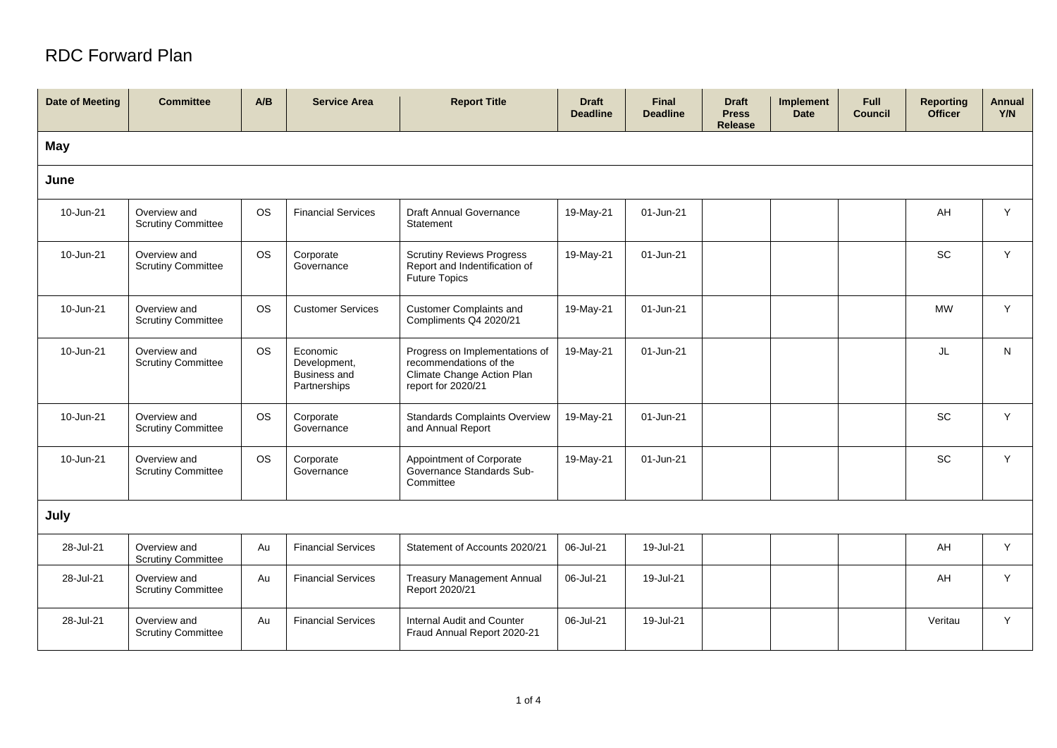## RDC Forward Plan

| <b>Date of Meeting</b> | <b>Committee</b>                          | A/B       | <b>Service Area</b>                                             | <b>Report Title</b>                                                                                          | <b>Draft</b><br><b>Deadline</b> | <b>Final</b><br><b>Deadline</b> | <b>Draft</b><br><b>Press</b><br><b>Release</b> | <b>Implement</b><br><b>Date</b> | Full<br><b>Council</b> | <b>Reporting</b><br><b>Officer</b> | <b>Annual</b><br>Y/N |
|------------------------|-------------------------------------------|-----------|-----------------------------------------------------------------|--------------------------------------------------------------------------------------------------------------|---------------------------------|---------------------------------|------------------------------------------------|---------------------------------|------------------------|------------------------------------|----------------------|
| May                    |                                           |           |                                                                 |                                                                                                              |                                 |                                 |                                                |                                 |                        |                                    |                      |
| June                   |                                           |           |                                                                 |                                                                                                              |                                 |                                 |                                                |                                 |                        |                                    |                      |
| 10-Jun-21              | Overview and<br><b>Scrutiny Committee</b> | <b>OS</b> | <b>Financial Services</b>                                       | <b>Draft Annual Governance</b><br>Statement                                                                  | 19-May-21                       | 01-Jun-21                       |                                                |                                 |                        | AH                                 | Y                    |
| 10-Jun-21              | Overview and<br><b>Scrutiny Committee</b> | <b>OS</b> | Corporate<br>Governance                                         | <b>Scrutiny Reviews Progress</b><br>Report and Indentification of<br><b>Future Topics</b>                    | 19-May-21                       | 01-Jun-21                       |                                                |                                 |                        | <b>SC</b>                          | Y                    |
| 10-Jun-21              | Overview and<br><b>Scrutiny Committee</b> | <b>OS</b> | <b>Customer Services</b>                                        | <b>Customer Complaints and</b><br>Compliments Q4 2020/21                                                     | 19-May-21                       | 01-Jun-21                       |                                                |                                 |                        | <b>MW</b>                          | Y                    |
| 10-Jun-21              | Overview and<br><b>Scrutiny Committee</b> | <b>OS</b> | Economic<br>Development,<br><b>Business and</b><br>Partnerships | Progress on Implementations of<br>recommendations of the<br>Climate Change Action Plan<br>report for 2020/21 | 19-May-21                       | 01-Jun-21                       |                                                |                                 |                        | JL                                 | N                    |
| 10-Jun-21              | Overview and<br><b>Scrutiny Committee</b> | <b>OS</b> | Corporate<br>Governance                                         | <b>Standards Complaints Overview</b><br>and Annual Report                                                    | 19-May-21                       | 01-Jun-21                       |                                                |                                 |                        | SC                                 | Y                    |
| 10-Jun-21              | Overview and<br><b>Scrutiny Committee</b> | <b>OS</b> | Corporate<br>Governance                                         | Appointment of Corporate<br>Governance Standards Sub-<br>Committee                                           | 19-May-21                       | 01-Jun-21                       |                                                |                                 |                        | <b>SC</b>                          | Y                    |
| July                   |                                           |           |                                                                 |                                                                                                              |                                 |                                 |                                                |                                 |                        |                                    |                      |
| 28-Jul-21              | Overview and<br><b>Scrutiny Committee</b> | Au        | <b>Financial Services</b>                                       | Statement of Accounts 2020/21                                                                                | 06-Jul-21                       | 19-Jul-21                       |                                                |                                 |                        | AH                                 | Y                    |
| 28-Jul-21              | Overview and<br><b>Scrutiny Committee</b> | Au        | <b>Financial Services</b>                                       | <b>Treasury Management Annual</b><br>Report 2020/21                                                          | 06-Jul-21                       | 19-Jul-21                       |                                                |                                 |                        | AH                                 | Y                    |
| 28-Jul-21              | Overview and<br><b>Scrutiny Committee</b> | Au        | <b>Financial Services</b>                                       | Internal Audit and Counter<br>Fraud Annual Report 2020-21                                                    | 06-Jul-21                       | 19-Jul-21                       |                                                |                                 |                        | Veritau                            | Y                    |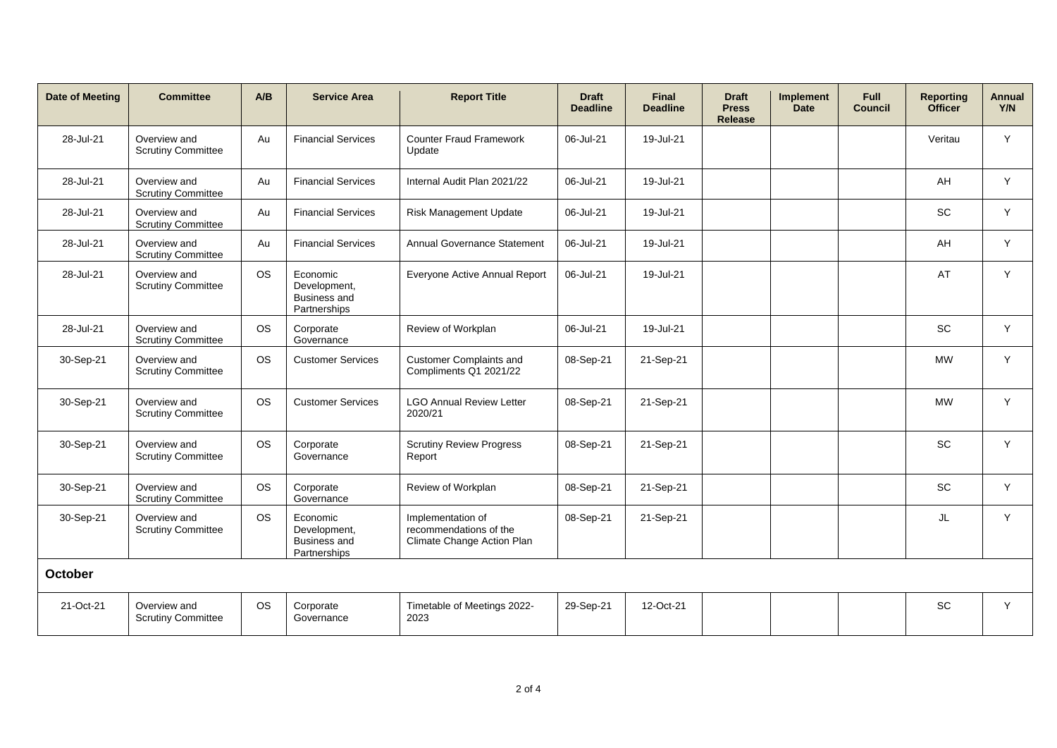| <b>Date of Meeting</b> | <b>Committee</b>                          | A/B       | <b>Service Area</b>                                             | <b>Report Title</b>                                                       | <b>Draft</b><br><b>Deadline</b> | <b>Final</b><br><b>Deadline</b> | <b>Draft</b><br><b>Press</b><br><b>Release</b> | <b>Implement</b><br><b>Date</b> | <b>Full</b><br><b>Council</b> | <b>Reporting</b><br><b>Officer</b> | Annual<br>Y/N |
|------------------------|-------------------------------------------|-----------|-----------------------------------------------------------------|---------------------------------------------------------------------------|---------------------------------|---------------------------------|------------------------------------------------|---------------------------------|-------------------------------|------------------------------------|---------------|
| 28-Jul-21              | Overview and<br><b>Scrutiny Committee</b> | Au        | <b>Financial Services</b>                                       | <b>Counter Fraud Framework</b><br>Update                                  | 06-Jul-21                       | 19-Jul-21                       |                                                |                                 |                               | Veritau                            | Y             |
| 28-Jul-21              | Overview and<br><b>Scrutiny Committee</b> | Au        | <b>Financial Services</b>                                       | Internal Audit Plan 2021/22                                               | 06-Jul-21                       | 19-Jul-21                       |                                                |                                 |                               | AH                                 | Y             |
| 28-Jul-21              | Overview and<br><b>Scrutiny Committee</b> | Au        | <b>Financial Services</b>                                       | <b>Risk Management Update</b>                                             | 06-Jul-21                       | 19-Jul-21                       |                                                |                                 |                               | SC                                 | Y             |
| 28-Jul-21              | Overview and<br><b>Scrutiny Committee</b> | Au        | <b>Financial Services</b>                                       | Annual Governance Statement                                               | 06-Jul-21                       | 19-Jul-21                       |                                                |                                 |                               | AH                                 | Y             |
| 28-Jul-21              | Overview and<br><b>Scrutiny Committee</b> | <b>OS</b> | Economic<br>Development,<br><b>Business and</b><br>Partnerships | Everyone Active Annual Report                                             | 06-Jul-21                       | 19-Jul-21                       |                                                |                                 |                               | AT                                 | Y             |
| 28-Jul-21              | Overview and<br><b>Scrutiny Committee</b> | <b>OS</b> | Corporate<br>Governance                                         | Review of Workplan                                                        | 06-Jul-21                       | 19-Jul-21                       |                                                |                                 |                               | SC                                 | Y             |
| 30-Sep-21              | Overview and<br><b>Scrutiny Committee</b> | <b>OS</b> | <b>Customer Services</b>                                        | <b>Customer Complaints and</b><br>Compliments Q1 2021/22                  | 08-Sep-21                       | 21-Sep-21                       |                                                |                                 |                               | <b>MW</b>                          | Y.            |
| 30-Sep-21              | Overview and<br><b>Scrutiny Committee</b> | <b>OS</b> | <b>Customer Services</b>                                        | <b>LGO Annual Review Letter</b><br>2020/21                                | 08-Sep-21                       | 21-Sep-21                       |                                                |                                 |                               | <b>MW</b>                          | Y.            |
| 30-Sep-21              | Overview and<br><b>Scrutiny Committee</b> | <b>OS</b> | Corporate<br>Governance                                         | <b>Scrutiny Review Progress</b><br>Report                                 | 08-Sep-21                       | 21-Sep-21                       |                                                |                                 |                               | SC                                 | Y             |
| 30-Sep-21              | Overview and<br><b>Scrutiny Committee</b> | <b>OS</b> | Corporate<br>Governance                                         | Review of Workplan                                                        | 08-Sep-21                       | 21-Sep-21                       |                                                |                                 |                               | <b>SC</b>                          | Y             |
| 30-Sep-21              | Overview and<br><b>Scrutiny Committee</b> | <b>OS</b> | Economic<br>Development,<br><b>Business and</b><br>Partnerships | Implementation of<br>recommendations of the<br>Climate Change Action Plan | 08-Sep-21                       | 21-Sep-21                       |                                                |                                 |                               | JL                                 | Y             |
| October                |                                           |           |                                                                 |                                                                           |                                 |                                 |                                                |                                 |                               |                                    |               |
| 21-Oct-21              | Overview and<br><b>Scrutiny Committee</b> | <b>OS</b> | Corporate<br>Governance                                         | Timetable of Meetings 2022-<br>2023                                       | 29-Sep-21                       | 12-Oct-21                       |                                                |                                 |                               | SC                                 | Y             |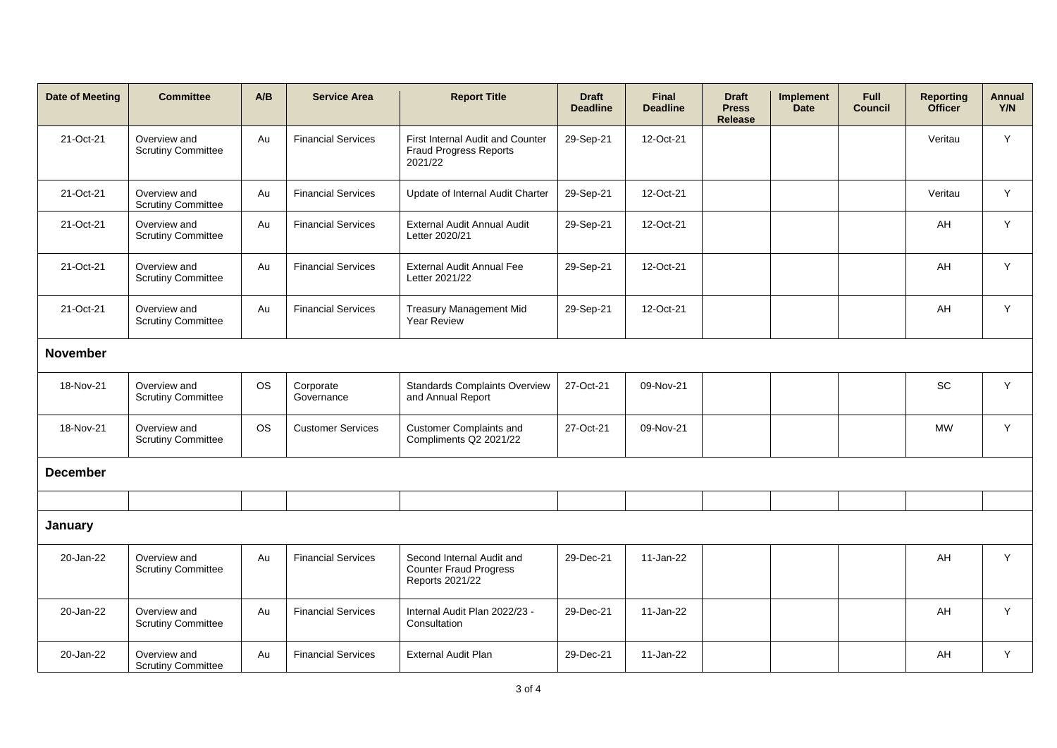| <b>Date of Meeting</b> | <b>Committee</b>                          | A/B       | <b>Service Area</b>       | <b>Report Title</b>                                                           | <b>Draft</b><br><b>Deadline</b> | <b>Final</b><br><b>Deadline</b> | <b>Draft</b><br><b>Press</b><br><b>Release</b> | <b>Implement</b><br><b>Date</b> | <b>Full</b><br><b>Council</b> | <b>Reporting</b><br><b>Officer</b> | Annual<br>Y/N |
|------------------------|-------------------------------------------|-----------|---------------------------|-------------------------------------------------------------------------------|---------------------------------|---------------------------------|------------------------------------------------|---------------------------------|-------------------------------|------------------------------------|---------------|
| 21-Oct-21              | Overview and<br><b>Scrutiny Committee</b> | Au        | <b>Financial Services</b> | First Internal Audit and Counter<br><b>Fraud Progress Reports</b><br>2021/22  | 29-Sep-21                       | 12-Oct-21                       |                                                |                                 |                               | Veritau                            | Y             |
| 21-Oct-21              | Overview and<br><b>Scrutiny Committee</b> | Au        | <b>Financial Services</b> | Update of Internal Audit Charter                                              | 29-Sep-21                       | 12-Oct-21                       |                                                |                                 |                               | Veritau                            | Y             |
| 21-Oct-21              | Overview and<br><b>Scrutiny Committee</b> | Au        | <b>Financial Services</b> | External Audit Annual Audit<br>Letter 2020/21                                 | 29-Sep-21                       | 12-Oct-21                       |                                                |                                 |                               | AH                                 | Y             |
| 21-Oct-21              | Overview and<br><b>Scrutiny Committee</b> | Au        | <b>Financial Services</b> | <b>External Audit Annual Fee</b><br>Letter 2021/22                            | 29-Sep-21                       | 12-Oct-21                       |                                                |                                 |                               | AH                                 | Y             |
| 21-Oct-21              | Overview and<br><b>Scrutiny Committee</b> | Au        | <b>Financial Services</b> | <b>Treasury Management Mid</b><br><b>Year Review</b>                          | 29-Sep-21                       | 12-Oct-21                       |                                                |                                 |                               | AH                                 | Y             |
| <b>November</b>        |                                           |           |                           |                                                                               |                                 |                                 |                                                |                                 |                               |                                    |               |
| 18-Nov-21              | Overview and<br><b>Scrutiny Committee</b> | <b>OS</b> | Corporate<br>Governance   | <b>Standards Complaints Overview</b><br>and Annual Report                     | 27-Oct-21                       | 09-Nov-21                       |                                                |                                 |                               | SC                                 | Y             |
| 18-Nov-21              | Overview and<br><b>Scrutiny Committee</b> | <b>OS</b> | <b>Customer Services</b>  | <b>Customer Complaints and</b><br>Compliments Q2 2021/22                      | 27-Oct-21                       | 09-Nov-21                       |                                                |                                 |                               | <b>MW</b>                          | Y             |
| <b>December</b>        |                                           |           |                           |                                                                               |                                 |                                 |                                                |                                 |                               |                                    |               |
|                        |                                           |           |                           |                                                                               |                                 |                                 |                                                |                                 |                               |                                    |               |
| January                |                                           |           |                           |                                                                               |                                 |                                 |                                                |                                 |                               |                                    |               |
| 20-Jan-22              | Overview and<br><b>Scrutiny Committee</b> | Au        | <b>Financial Services</b> | Second Internal Audit and<br><b>Counter Fraud Progress</b><br>Reports 2021/22 | 29-Dec-21                       | 11-Jan-22                       |                                                |                                 |                               | AH                                 | Y             |
| 20-Jan-22              | Overview and<br><b>Scrutiny Committee</b> | Au        | <b>Financial Services</b> | Internal Audit Plan 2022/23 -<br>Consultation                                 | 29-Dec-21                       | 11-Jan-22                       |                                                |                                 |                               | AH                                 | Y             |
| 20-Jan-22              | Overview and<br><b>Scrutiny Committee</b> | Au        | <b>Financial Services</b> | <b>External Audit Plan</b>                                                    | 29-Dec-21                       | 11-Jan-22                       |                                                |                                 |                               | AH                                 | Y             |